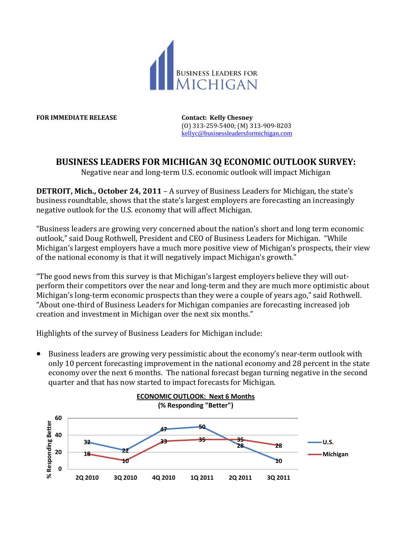

**FOR IMMEDIATE RELEASE Contact: Kelly Chesney**

(O) 313-259-5400; (M) 313-909-8203 [kellyc@businessleadersformichigan.com](mailto:kellyc@businessleadersformichigan.com)

## **BUSINESS LEADERS FOR MICHIGAN 3Q ECONOMIC OUTLOOK SURVEY:**

Negative near and long-term U.S. economic outlook will impact Michigan

**DETROIT, Mich., October 24, 2011** – A survey of Business Leaders for Michigan, the state's business roundtable, shows that the state's largest employers are forecasting an increasingly negative outlook for the U.S. economy that will affect Michigan.

"Business leaders are growing very concerned about the nation's short and long term economic outlook," said Doug Rothwell, President and CEO of Business Leaders for Michigan. "While Michigan's largest employers have a much more positive view of Michigan's prospects, their view of the national economy is that it will negatively impact Michigan's growth."

"The good news from this survey is that Michigan's largest employers believe they will outperform their competitors over the near and long-term and they are much more optimistic about Michigan's long-term economic prospects than they were a couple of years ago," said Rothwell. "About one-third of Business Leaders for Michigan companies are forecasting increased job creation and investment in Michigan over the next six months."

Highlights of the survey of Business Leaders for Michigan include:

 Business leaders are growing very pessimistic about the economy's near-term outlook with only 10 percent forecasting improvement in the national economy and 28 percent in the state economy over the next 6 months. The national forecast began turning negative in the second quarter and that has now started to impact forecasts for Michigan.